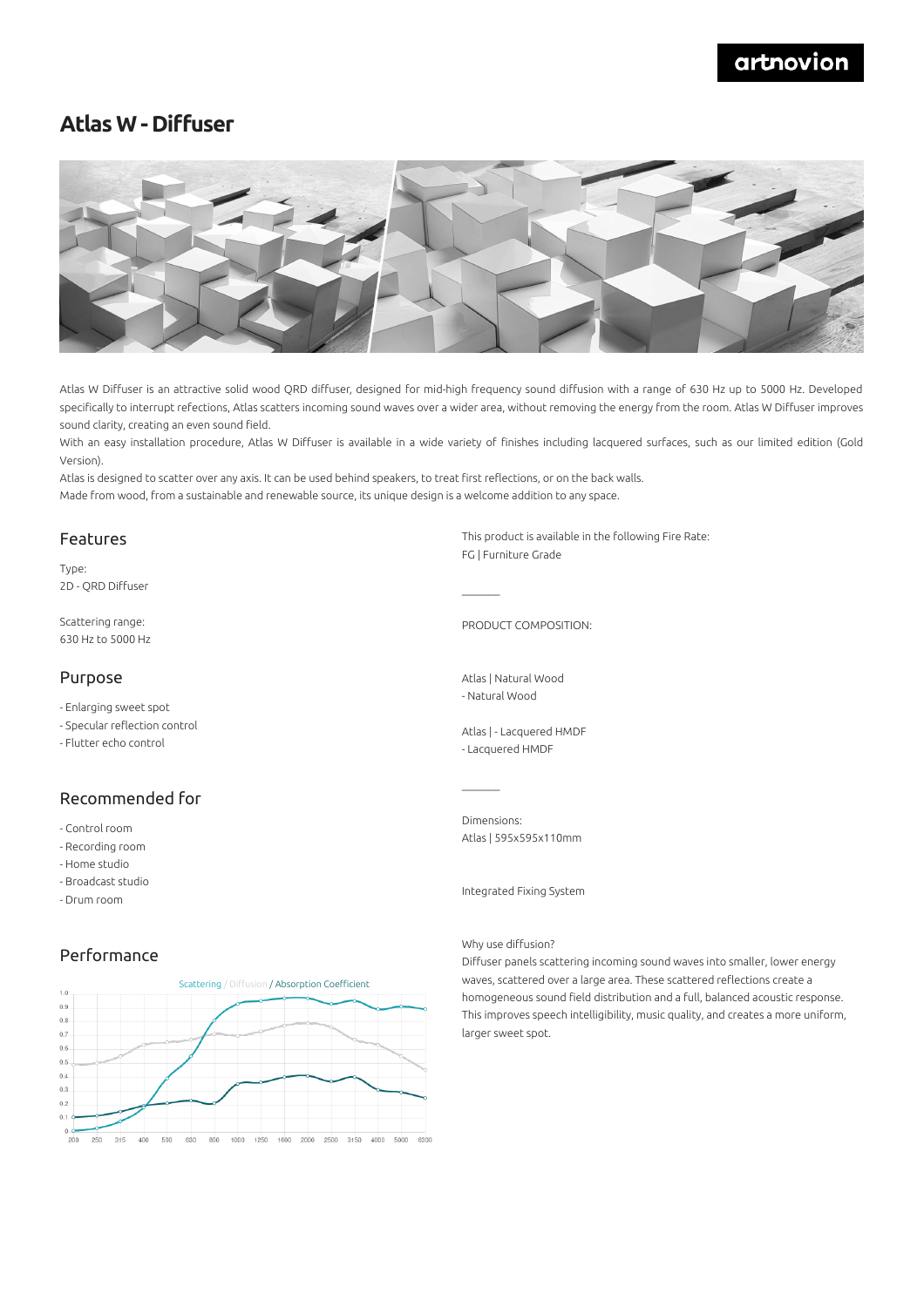## artnovion

# **Atlas W - Diffuser**



Atlas W Diffuser is an attractive solid wood QRD diffuser, designed for mid-high frequency sound diffusion with a range of 630 Hz up to 5000 Hz. Developed specifically to interrupt refections, Atlas scatters incoming sound waves over a wider area, without removing the energy from the room. Atlas W Diffuser improves sound clarity, creating an even sound field.

With an easy installation procedure, Atlas W Diffuser is available in a wide variety of finishes including lacquered surfaces, such as our limited edition (Gold Version).

Atlas is designed to scatter over any axis. It can be used behind speakers, to treat first reflections, or on the back walls. Made from wood, from a sustainable and renewable source, its unique design is a welcome addition to any space.

### Features

Type: 2D - QRD Diffuser

Scattering range: 630 Hz to 5000 Hz

### Purpose

- Enlarging sweet spot

- Specular reflection control
- Flutter echo control

### Recommended for

- Control room
- Recording room
- Home studio
- Broadcast studio
- Drum room

### Performance



This product is available in the following Fire Rate: FG | Furniture Grade

PRODUCT COMPOSITION:

Atlas | Natural Wood - Natural Wood

 $\mathcal{L}=\mathcal{L}$ 

Atlas | - Lacquered HMDF - Lacquered HMDF

Dimensions: Atlas | 595x595x110mm

Integrated Fixing System

#### Why use diffusion?

Diffuser panels scattering incoming sound waves into smaller, lower energy waves, scattered over a large area. These scattered reflections create a homogeneous sound field distribution and a full, balanced acoustic response. This improves speech intelligibility, music quality, and creates a more uniform, larger sweet spot.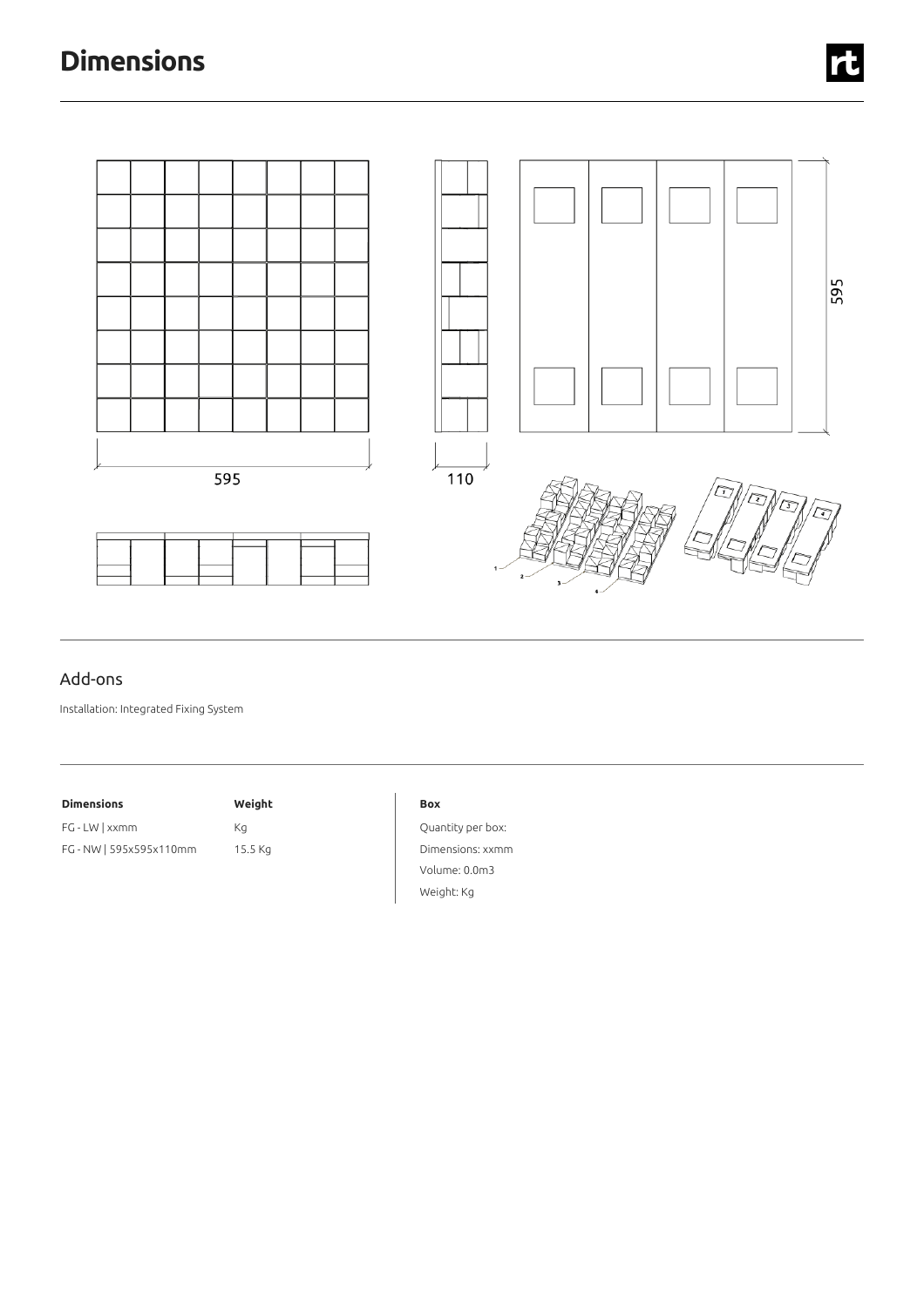# **Dimensions**



## Add-ons

Installation: Integrated Fixing System

| <b>Dimensions</b>       | Weight  |
|-------------------------|---------|
| FG - LW   xxmm          | Кa      |
| FG - NW   595x595x110mm | 15.5 Kg |

#### **Box**

Quantity per box: Dimensions: xxmm Volume: 0.0m3 Weight: Kg